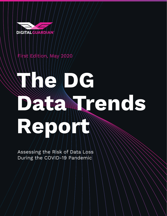

# First Edition, May 2020

# **The DG Data Trends Report**

Assessing the Risk of Data Loss During the COVID-19 Pandemic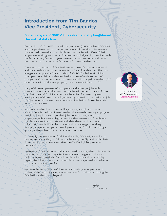# **Introduction from Tim Bandos Vice President, Cybersecurity**

#### **For employers, COVID-19 has dramatically heightened the risk of data loss.**

On March 11, 2020 the World Health Organization (WHO) declared COVID-19 a global pandemic. Within days, organizations all over the globe instantly transformed themselves into distributed companies with 100% of their employees working from home. This remote work dynamic, combined with the fact that very few employees were trained on how to securely work from home, has created a perfect storm for sensitive data loss.

The economic impacts of COVID-19 are also being felt around the world and we already know how economic turmoil can fuel data loss. The most egregious example, the financial crisis of 2007-2009, led to 37 million unemployment claims. It also resulted in a slew of trade secret theft charges. In 2013, the Department of Justice said it charged more than 1,000 defendants with intellectual property theft between 2008 and 2012.

Many of those employees left companies and either got jobs with competitors or started their own companies with stolen data. As of late-May 2020, over 38.6 million Americans have filed for unemployment, leaving many of those still employed feeling uncertain about their own job stability. Whether we see the same levels of IP theft to follow this crisis remains to be seen.

Another consideration, and more likely in today's work from home environment, is the loss of sensitive data due to well-meaning employees simply looking for ways to get their jobs done. In many scenarios, employees with access to highly sensitive data are working from home with less access to corporate network data shares and sanctioned collaboration tools. While the risks around data leakage have always loomed large over companies, employees working from home during a global pandemic has only further exacerbated them.

To quantify the true scope of risk introduced by COVID-19, we looked at data movement activity at 194 companies using the Digital Guardian Data Protection Platform before and after the COVID-19 global pandemic declaration.

Unlike other "data risk reports" that are based on survey data, this report is based on real data from organizations spanning the globe and across multiple industry verticals. Our unique classification and data visibility capabilities allow us to share how much data was egressed, and whether or not the data was classified.

We hope this report is a useful resource to assist your organization in understanding and mitigating your organization's data loss risk during the COVID-19 pandemic and beyond.

*- Tim*



Tim Bandos VP, Cybersecurity Digital Guardian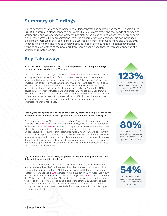## **Summary of Findings**

Risk to sensitive data from both insider and outsider threats has spiked since the WHO declared the COVID-19 outbreak a global pandemic on March 11, 2020. Almost overnight, thousands of companies around the world were forced to transform into distributed organizations where working from home is the "new normal." Many organizations were not prepared for this transition. This has introduced a significant increase in the risk of sensitive data loss as remote employees move and use data via unsanctioned means. The risks to sensitive data have been compounded by external adversaries, trying to take advantage of the new work from home phenomena through increased opportunistic attacks on remote workers.

## **Key Takeaways**

After the COVID-19 pandemic declaration, employees are storing much larger volumes of sensitive data on USB devices.

Since the onset of COVID-19, we have seen a 123% increase in the volume of data moving to USB drives and 74% of that data was classified according to the DLP policies. USB devices are a common vehicle for sharing data and we regularly see employees in offices download large files to USB devices and drop them off at a coworker's desk to collaborate on content. However, with most states and countries under stay-at-home and shelter-in-place orders, "handing off" a physical USB device to a co-worker or trusted partner is practically impossible. Given that, we would have assumed the data would show a decrease in USB usage after COVID-19. Instead, we've seen a dramatic increase. While it's difficult to attribute employee motives for this behavior, we can confirm the behavior exists and that organizations should take heed.



employees copied to USB devices after COVID-19 pandemic declaration

#### Data egress has spiked across the board. Security teams thinking a return to the office (with the requisite network protections) is imminent must think again.

With employees working from their homes, data egress via all means (email, cloud, USB, etc.) was 80% higher in the first month following WHO's COVID-19 pandemic declaration. More than 50% of observed data egress was classified data. Executives who believe returning to the office and its security protections will return them to an acceptable risk level must think again. Many global healthcare and government leaders now accept that the effects of COVID-19 will be with us for the foreseeable future. Working from home will be the rule, not the exception. This should increase the urgency for executives and security teams who oversee a remote workforce to prioritize data protection vs. waiting to get back to the office and simply hoping to avoid data loss until that time.

#### Organizations should enlist every employee in their battle to protect sensitive data and IP from outside attackers.

The global cybersecurity talent shortage is well-documented. In-house security teams were taxed well before the onset of a global pandemic but COVID-19 has impaired the situation further. Digital Guardian's Managed Detection & Response customers have noticed a 62% increase in malicious activity, a number that in turn has led to an increase in incident response investigations - 54% more than before the WHO's pandemic declaration. The best option to expand your security team today is to enlist every employee to be a part of the effort. Organizations should continue to offer security awareness training to keep their first line of defense strong. Training can also make it less likely that low-level attacks, like phishing, put sensitive data at risk.

Increase in volume of data egressed across all channels after COVID-19 pandemic declaration **80%**

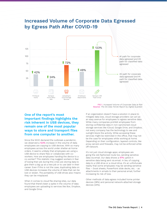

### **Increased Volume of Corporate Data Egressed by Egress Path After COVID-19**

FIG 1. Increased Volume of Corporate Data at Risk Source: The DG Data Trends Report by Digital Guardian

#### **One of the report's most important findings highlights the risk inherent in USB devices, they remain one of the most popular ways to store and transport files from one computer to another.**

Since the WHO declared the outbreak a pandemic, we observed a 123% increase in the volume of data employees are copying to USB devices. With so many employees across the world under shelter-at-home orders, it seems unlikely that employees are using a USB device to share files or collaborate with coworkers. How are employees handing the device to a co-worker? This statistic may suggest workers in fear of losing their job during this crisis are storing data to give them a leg up at a new job or to use later in their career. Even if this is not the case, duplicating data on USB devices increases the volume of data that can be lost or stolen. The portability of USB drives also means they can be misplaced.

When it comes to cloud file sharing sites, our data found that there's been a spike in the volume of data employees are uploading to services like Box, Dropbox, and Google Drive.

If an organization doesn't have a solution in place to mitigate data loss, cloud storage providers can act as an easy avenue for employees to egress sensitive data. While many companies prohibit employees from storing confidential data in non-sanctioned cloud storage services like iCloud, Google Drive, and Dropbox, not every company has the technology to see and outright block the activity. While accessing these services might be restricted in the office, that may not be the case for employees while working at home. Depending on their configuration, layered controls, like proxy servers and firewalls, may not be enforced while off-network.

It's not just cloud storage apps; employees are going the old-fashioned route too, sending sensitive data via email. Our data shows a 47% uptick in sensitive data being sent via email. In lieu of copying data to a USB drive or a cloud drive, it's an unfortunate reality that some employees may be sending sensitive files – Excel sheets, PowerPoint slide decks, etc. - as attachments in emails to their personal email, further increasing its risk of loss.

Other methods of data egress included home printer devices (38%) and personal network-attached storage devices (24%).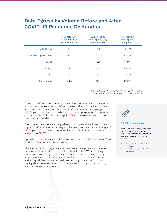# **Data Egress by Volume Before and After COVID-19 Pandemic Declaration**

|                               | Avg. Monthly<br>Data Egress (TB)<br>Jan - Feb 2020 | Avg. Monthly<br>Data Egress (TB)<br>Mar - Apr 2020 | Avg. Monthly<br><b>Data Egress</b><br>Change $(+/-)$ |
|-------------------------------|----------------------------------------------------|----------------------------------------------------|------------------------------------------------------|
| <b>USB Drives</b>             | 99                                                 | 221                                                | $+123.2%$                                            |
| <b>Cloud Storage Services</b> | 195                                                | 336                                                | $+72.3%$                                             |
| Email                         | 7                                                  | 10.4                                               | +48.6%                                               |
| Printer                       | 1.9                                                | 2.7                                                | $+42.1%$                                             |
| <b>NAS</b>                    | 46                                                 | 57                                                 | +23.9%                                               |
| Data Egress                   | 348.9                                              | 627.1                                              | +79.7%                                               |

FIG 2. Volume of Corporate Data Egressed by Egress Path Source: The DG Data Trends Report by Digital Guardian

When you drill into the numbers you can see just how much data egress to cloud storage services and USBs increased after COVID-19 was labeled a pandemic. In January and February 2020, we detected an average of 195 TB per month being uploaded to cloud storage services. That number jumped to 336 TB in March and April, a 72% increase compared to the previous two months.

The numbers are more alarming when you compare the volume of data copied to USB devices. In January and February, we detected an average of 99 TB per month: the volume more than doubled in the months of March and April to 221 TB.

Uploads to cloud storage and USB devices add up to 557 TB, or 89% of the total 627 TB egressed in March and April.

Digital Guardian's managed service customers have policies in place to monitor and control the movement of classified files. While blocking the action, particularly during the COVID-19 pandemic, when so many employees are working remotely, is not the most popular enforcement action, Digital Guardian's managed service analysts are monitoring and logging data movement events so future investigations can occur if any event is deemed suspicious.



#### **123% Increase**

In the volume of corporate data stored to USB devices after COVID-19 pandemic declaration and the move to work from home:

- #2 path for corporate data egressed
- #1 path for classified data egressed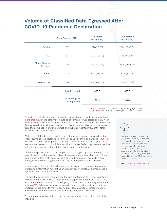# **Volume of Classified Data Egressed After COVID-19 Pandemic Declaration**

|                                         | Data Egressed (TB)             | Classified<br>(% of data) | Unclassified<br>(% of data) |
|-----------------------------------------|--------------------------------|---------------------------|-----------------------------|
| Printer                                 | 2.7                            | 7% (0.2 TB)               | 93% (2.5 TB)                |
| <b>NAS</b>                              | 57                             | 22% (12.5 TB)             | 78% (44.5 TB)               |
| <b>Cloud Storage</b><br><b>Services</b> | 336                            | 42% (141.1 TB)            | 58% (194.9 TB)              |
| Email                                   | 10.4                           | 57% (5.9 TB)              | 43% (4.5 TB)                |
| <b>USB Drives</b>                       | 221                            | 74% (163.5 TB)            | 26% (57.5 TB)               |
|                                         | Data Egressed                  | 323.3                     | 303.8                       |
|                                         | Percentage of<br>Data Egressed | 52%                       | 48%                         |

FIG 3. Volume of Corporate Data Egressed by Egress Path Source: The DG Data Trends Report by Digital Guardian

Following the WHO's pandemic declaration in March and move to work from home, more than half of the data moved outside of companies was classified data. Nearly three quarters of data egressed via USB in March was also classified. The majority of data egressed via email was classified too. The amount of classified data egressed from the combination of cloud storage and USBs represented 94% of the total classified data moved in March.

While most of the data egressed via cloud storage services was unclassified, the sheer volume of files uploaded to services like Google Drive and Dropbox (336 TB) exceeded all other egress paths combined. While all would acknowledge it's very easy and convenient to upload data to a cloud storage folder, organizations need to better understand the nature of data that is moving to the cloud.

USB was responsible for 221 TB of egressed data, suggesting there could be some ease of use at play here as well. Given shelter-at-home orders, sharing a USB with a co-worker or legitimate business partner is no longer easy. This could mean employees are storing large numbers of files as a backup for their own use.

In some cases, this could be legitimate use, but even in those cases, the volume of classified information now sitting on USB devices in employee homes poses a significant risk of future data loss.

The fact that some email services cap the size of attachments - Gmail and Yahoo limit attachments to 25 MB, Outlook generally caps attachments at 20 MB – may have deterred employees from sending large files via email. According to our data, only 10.4 TB of data was egressed via email. It's still possible that more motivated employees used email to move classified files (such as trade secrets or design documents) just in reduced file size formats (i.e. images or PDF files).

These data points all point to the importance of controls that protect data at the endpoint.



Endpoint Data Loss Prevention (DLP), with its ability to see and stop risky behavior when users are off the corporate network is a proven option for security teams. DLP as a managed service goes one step further by adding the dedicated security expertise needed to provide 24x7 monitoring of sensitive data.

See: [DLP as a Managed Service](https://digitalguardian.com/blog/what-dlp-service-determining-when-dlp-managed-services-make-sense-you)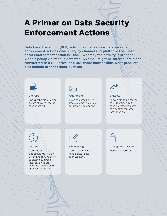# **A Primer on Data Security Enforcement Actions**

**Data Loss Prevention (DLP) solutions offer various data security enforcement actions which vary by channel and platform. The most basic enforcement option is 'Block' whereby the activity is stopped when a policy violation is detected. An email might be filtered, a file not transferred to a USB drive, or a URL made inaccessible. Most products also include other options, such as:** 



#### Encrypt

Encrypt the file or email before allowing it to be sent or stored.



#### **Quarantine**

Move the email or file into a quarantine queue for review and approval.



Shadow

Allow a file to be moved to USB storage, but send a protected copy to a central server for later analysis.

#### **Justify**

Warn the user that this action may violate policy and require them to enter a business justification to store with the incident alert on a central server.



#### Change Rights

Add or modify the file's digital rights management.

#### Modify file permissions. Change Permissions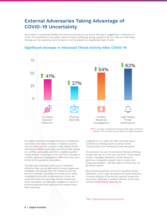# **External Adversaries Taking Advantage of COVID-19 Uncertainty**

Since March 11, advanced threats and malicious activity are up across the board, suggesting a connection to COVID-19 contributed to the spike. Cybercriminals profiteering during a global crisis isn't new, so while these findings are not surprising, security teams must be placed at a heightened state of alert.



#### **Significant Increase in Advanced Threat Activity After COVID-19**

FIG 4. Increase in Advanced Threat Activity After COVID-19 Source: The DG Data Trends Report by Digital Guardian

For Digital Guardian's Managed Detection & Response customers, this sharp increase in malicious activity has coincided with an increase in high fidelity threat notifications (62%), essentially any activity that results in a verified, actionable alert from a Digital Guardian Threat Analyst. Those have in turn led to an increase in incident response investigations, 54% more than prior to the WHO's pandemic declaration.

The data also indicates a 41% jump in endpoint infections that can be attributed to known signatures, metadata, and signals from the malware scanning service VirusTotal, indicating some bad actors, likely motivated by the shift to working from home, are using old tricks and assuming remote workers are more vulnerable. Our data also validates an uptick in phishing attempts that many security vendors have been reporting.

Judging from our data, the FBI's warnings<sup>1</sup> about Coronavirus phishing scams, business email compromises, and malware are well-warranted.

For example, the use of Coronavirus-themed phishing emails (see Fig. 5) is now very common. These hastily written messages frequently contain atrocious grammar, misspelled subject lines or words, and sloppy punctuation - tell-tale signs an email may not be what it seems.

More advanced attacks come from spoofed sender addresses, a trick used by phishers to evade detection. A routine analysis of the email's payload reveals the document, attached, is indeed malicious and is even named "covid-19.exe" (see Fig. 5).

1 See: <https://www.fbi.gov/coronavirus>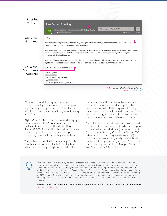| Spoofed                       |                                                                                                                                                                                                                                                                                     |  |  |
|-------------------------------|-------------------------------------------------------------------------------------------------------------------------------------------------------------------------------------------------------------------------------------------------------------------------------------|--|--|
| Senders                       | Free Codiv-19 testing!                                                                                                                                                                                                                                                              |  |  |
|                               | Reply All<br>$\leftarrow$ Reply<br>$\rightarrow$ Forward<br>$\cdots$<br>@Medical-Center<br>CG                                                                                                                                                                                       |  |  |
|                               | Thu 4/16/2020 12:34 PM<br>To <sup>o</sup>                                                                                                                                                                                                                                           |  |  |
| Atrocious                     | Hello,                                                                                                                                                                                                                                                                              |  |  |
| Grammar                       | As worldwide virus pandemic & tension rise, our organization is here to guideordinary people around the world<br>manage to get their virus 2020-nCoV check totally free!                                                                                                            |  |  |
|                               | This is certainly a period of time for wisdom, instead of panic. Science, not judgment. Data, not anxiety. Everyone of us<br>have a responsibility, also – to follow along with health care tips and take simple, effective guidelines highly<br>recommended by healthcare experts. |  |  |
|                               | You must fill out a request form in the attachment and respond back to this message to get your virus SARS-2 check<br>right now. You will additionally find all of the necessary data in the enclosure during the pandemic.                                                         |  |  |
| <b>Malicious</b><br>Documents | > DOWNLOAD FORM ATTACHED <                                                                                                                                                                                                                                                          |  |  |
| Attached                      | Warm Regards,                                                                                                                                                                                                                                                                       |  |  |
|                               | Usa Volunteer Organization,                                                                                                                                                                                                                                                         |  |  |
|                               | no.<br>US 501(c)(7) non-profit organization                                                                                                                                                                                                                                         |  |  |
|                               | FIG 5. Sample COVID-19 phishing email.                                                                                                                                                                                                                                              |  |  |

Source: @MsftSecIntel

Without inbound filtering and defenses to prevent phishing, these emails, which appear legitimate by hiding the sender's identity, can slip through and trick users if they're not paying attention.

Digital Guardian has observed more damaging threats as well, like Coronavirus-themed malware that overwrites the Master Boot Record (MBR) of the victim's hard disk and sites pretending to offer free Netflix subscriptions when they're actually harvesting credentials.

There's been an uptick in threats targeting the healthcare sector specifically, including hoax sites masquerading as legitimate health sites

that are laden with links to malware and an influx of ransomware activity targeting the healthcare industry. Detecting and stopping these types of externally based threats requires both technology and teams that can interpret patterns associated with advanced threats.

Endpoint detection and response provides part of the solution, but the experts who can respond to these advanced alerts are just as important. Spinning up a Security Operations Center (SOC) takes time and many organizations struggle to find and retain security analysts and threat hunters in the tight security market. This explains the increasing popularity of Managed Detection and Response (MDR) services.



Companies are now outsourcing advanced detection & response more than ever. With the security landscape growing more complex, and the costs of maintaining adequate in-house security teams high, it makes sense to outsource the tasks of threat hunting and response to ensure that they can promptly identify potential threats and react swiftly to mitigate damages. Because Managed Detection and Response providers play an integral role in maintaining a company's security posture, it's vitally important to carefully weigh all considerations when selecting an MDR provider. To help you understand the various factors and other considerations you should evaluate when selecting a provider, Digital Guardian reached out to a panel of data security experts and asked them to answer this question:

**"WHAT ARE THE TOP CONSIDERATIONS FOR CHOOSING A MANAGED DETECTION AND RESPONSE PROVIDER?"** [You can read their responses here](https://digitalguardian.com/blog/top-considerations-choosing-managed-detection-response-provider)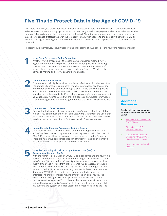# **Five Tips to Protect Data in the Age of COVID-19**

Now more than ever, it's crucial for those in charge of protecting data to remain vigilant. Security teams need to be aware of the extraordinary opportunity COVID-19 has granted to employees and external adversaries. The increasing risk to data must be considered and mitigated. Given the current economic landscape, having the majority of business professionals working remotely – many with access to the company's sensitive data, on systems not originally configured to handle this situation – amounts to an unprecedented threat to business information.

To better equip themselves, security leaders and their teams should consider the following recommendations:

#### Issue Data Governance Policy Reminders

Whether it's via email, Slack, Microsoft Teams or another method, now is a good time to remind employees of the company's policies for handling business and customer data. Reiterate to employees the importance of using only company-sanctioned apps, cloud storage and USB drives when it comes to moving and storing sensitive information.

#### Label Sensitive Information

Ensure any and all highly sensitive data is classified as such. Label sensitive information like intellectual property, financial information, healthcare, and information subject to compliance regulations. Double check that policies are in place to prevent unauthorized access. These labels can be human readable or machine readable. Even using a simple digital watermark can act as a subtle reminder to users that they are accessing protected information. That knowledge alone can be enough to reduce the risk of unwanted activity.



**1**

**2**

#### Limit Access to Sensitive Data

Even without a formal data loss prevention program or technology solution in place, you can reduce the risk of data loss. Simply inventory the users that have access to sensitive file shares and other data repositories, assess their need for that access and limit it for those that don't require access.



#### Host a Remote Security Awareness Training Session

Many organizations have grown accustomed to hosting the annual or biannual in-classroom security awareness training session. With the onset of COVID-19 however, these in-classroom experiences can no longer occur. There are numerous companies that can offer remote and/or on-demand security awareness trainings that should be considered.

# **5**

#### Consider Deploying Virtual Desktop Infrastructure (VDI) or Desktop as a Service (DaaS)

With the March 11 declaration of COVID-19 as a pandemic and the follow-up stay-at-home orders, many "work from office" organizations were forced to transform to "work from home" overnight. For some companies, this has meant employees working from their personal PCs or laptops, leveraging their home Wi-Fi networks. This is a high-risk situation and organizations have a limited ability to enforce security controls in these circumstances. It appears COVID-19 will be with us for many months to come, so organizations should consider moving employees off personal devices to corporately managed virtual endpoints hosted in the cloud. VDI and Desktop-as-a-Service (DaaS) providers such as Amazon Workspaces can reduce the risk by providing strong controls on remote workstations while still allowing the system and data access employees need to do their job.



#### **Additional Resources**

Readers of this report may also find these additional resources useful:

- The Definitive Guide to DLP [\(2020 Edition\)](https://info.digitalguardian.com/the-definitive-guide-to-data-loss-prevention.html?utm_source=homepagebanner)
- SC Media Labs DLP [Comparison Report](https://info.digitalguardian.com/rs/768-OQW-145/images/SC-Labs-DLP-GROUP-TEST-AND-DG-REVIEW.pdf?field_resource_type_value=analyst-reports)
- Gartner Report: How to [Overcome Pitfalls in Data](https://info.digitalguardian.com/analyst-report-gartner-overcome-pitfalls-data-classification.html?field_resource_type_value=analyst-reports)  [Classification Initiatives](https://info.digitalguardian.com/analyst-report-gartner-overcome-pitfalls-data-classification.html?field_resource_type_value=analyst-reports)
- [Digital Guardian Technical](https://info.digitalguardian.com/digital-guardian-technical-overview-whitepaper.html?field_resource_type_value=whitepaper)  **[Overview](https://info.digitalguardian.com/digital-guardian-technical-overview-whitepaper.html?field_resource_type_value=whitepaper)**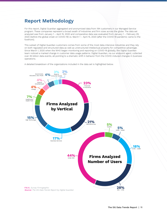# **Report Methodology**

For this report, Digital Guardian aggregated and anonymized data from 194 customers in our Managed Service program. These companies represent a broad swath of industries and firm sizes across the globe. The data set analyzed was from January 1 – April 15, 2020 and comparative data was evaluated from January 1 – February 29, 2020 (before the global onset on COVID-19) vs. March 1 – April 15, 2020 (after the COVID-19 pandemic came to the forefront).

This subset of Digital Guardian customers comes from some of the most data-intensive industries and they rely on both regulated and structured data as well as unstructured intellectual property for competitive advantage. Since March 1, 2020 when the WHO began monitoring and reporting on COVID-19 globally, the Digital Guardian team noticed a marked change in customer data usage patterns. Digital Guardian, via our endpoint agent, collected over 45 billion data events, all pointing to a dramatic shift in behavior from the COVID-induced changes in business operations.

A detailed breakdown of the organizations included in the data set is highlighted below.

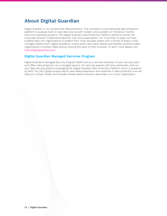# **About Digital Guardian**

Digital Guardian is no-compromise data protection. The company's cloud-delivered data protection platform is purpose-built to stop data loss by both insiders and outsiders on Windows, macOS, and Linux operating systems. The Digital Guardian Data Protection Platform performs across the corporate network, traditional endpoints, and cloud applications. For more than 15 years, we have enabled data-rich organizations to protect their most valuable assets with a choice of SaaS or fully managed deployment. Digital Guardian's unique policy-less data visibility and flexible controls enable organizations to protect data without slowing the pace of their business. To learn more please visit: [https://digitalguardian.com/](https://digitalguardian.com/ )

#### **Digital Guardian Managed Services Program**

Digital Guardian's Managed Security Program (MSP) acts as a remote extension of your security team and offers data protection as a managed service. Our security experts will host, administer, and run your data security platform leveraging the Digital Guardian Data Protection Platform which is powered by AWS. Our 24x7 global analyst teams have deep experience and expertise in data protection and will help you contain insider and outsider threats before sensitive data leaks out of your organization.